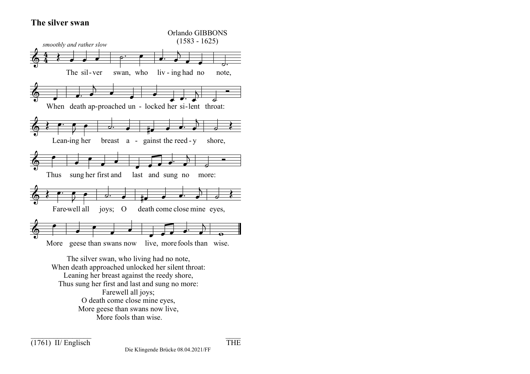## **The silver swan**



Thus sung her first and last and sung no more: Farewell all joys; O death come close mine eyes, More geese than swans now live, More fools than wise.

 $(1761)$  II/ Englisch THE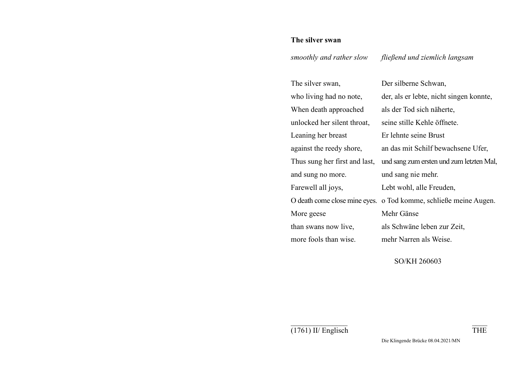## **The silver swan**

*smoothly and rather slow fließend und ziemlich langsam* 

| The silver swan,              | Der silberne Schwan,                                             |
|-------------------------------|------------------------------------------------------------------|
| who living had no note,       | der, als er lebte, nicht singen konnte,                          |
| When death approached         | als der Tod sich näherte,                                        |
| unlocked her silent throat,   | seine stille Kehle öffnete.                                      |
| Leaning her breast            | Er lehnte seine Brust                                            |
| against the reedy shore,      | an das mit Schilf bewachsene Ufer,                               |
| Thus sung her first and last, | und sang zum ersten und zum letzten Mal,                         |
| and sung no more.             | und sang nie mehr.                                               |
| Farewell all joys,            | Lebt wohl, alle Freuden,                                         |
|                               | O death come close mine eyes. o Tod komme, schließe meine Augen. |
| More geese                    | Mehr Gänse                                                       |
| than swans now live,          | als Schwäne leben zur Zeit,                                      |
| more fools than wise.         | mehr Narren als Weise.                                           |

SO/KH 260603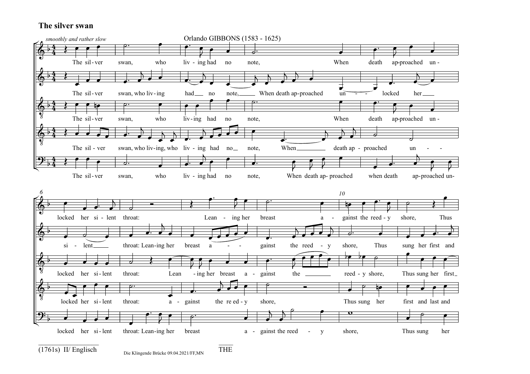## **The silver swan**